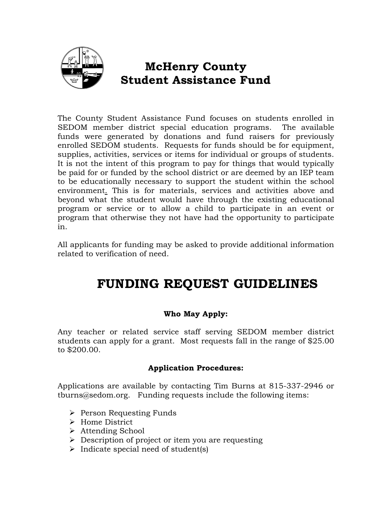

# **McHenry County Student Assistance Fund**

The County Student Assistance Fund focuses on students enrolled in SEDOM member district special education programs. The available funds were generated by donations and fund raisers for previously enrolled SEDOM students. Requests for funds should be for equipment, supplies, activities, services or items for individual or groups of students. It is not the intent of this program to pay for things that would typically be paid for or funded by the school district or are deemed by an IEP team to be educationally necessary to support the student within the school environment. This is for materials, services and activities above and beyond what the student would have through the existing educational program or service or to allow a child to participate in an event or program that otherwise they not have had the opportunity to participate in.

All applicants for funding may be asked to provide additional information related to verification of need.

# **FUNDING REQUEST GUIDELINES**

## **Who May Apply:**

Any teacher or related service staff serving SEDOM member district students can apply for a grant. Most requests fall in the range of \$25.00 to \$200.00.

## **Application Procedures:**

Applications are available by contacting Tim Burns at 815-337-2946 or tburns@sedom.org. Funding requests include the following items:

- $\triangleright$  Person Requesting Funds
- > Home District
- Attending School
- $\triangleright$  Description of project or item you are requesting
- $\triangleright$  Indicate special need of student(s)